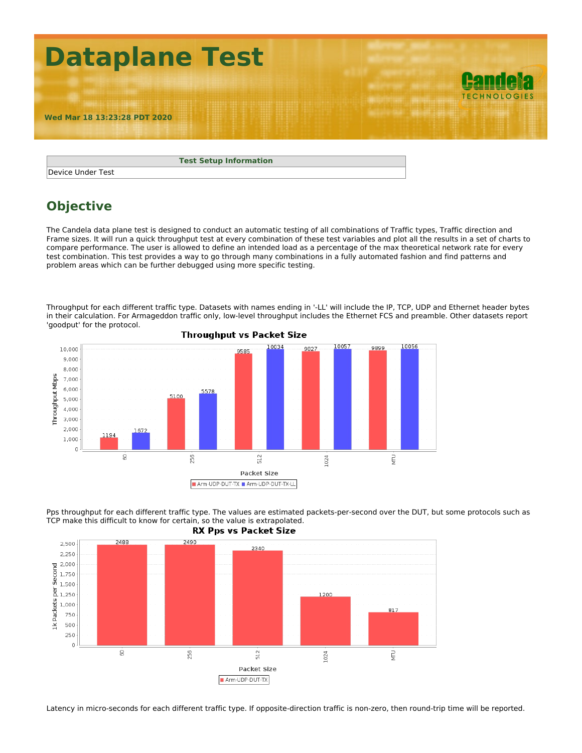

| <b>Test Setup Information</b> |
|-------------------------------|
| Device Under Test             |

## **Objective**

The Candela data plane test is designed to conduct an automatic testing of all combinations of Traffic types, Traffic direction and Frame sizes. It will run a quick throughput test at every combination of these test variables and plot all the results in a set of charts to compare performance. The user is allowed to define an intended load as a percentage of the max theoretical network rate for every test combination. This test provides a way to go through many combinations in a fully automated fashion and find patterns and problem areas which can be further debugged using more specific testing.

Throughput for each different traffic type. Datasets with names ending in '-LL' will include the IP, TCP, UDP and Ethernet header bytes in their calculation. For Armageddon traffic only, low-level throughput includes the Ethernet FCS and preamble. Other datasets report 'goodput' for the protocol.





Pps throughput for each different traffic type. The values are estimated packets-per-second over the DUT, but some protocols such as TCP make this difficult to know for certain, so the value is extrapolated.

Latency in micro-seconds for each different traffic type. If opposite-direction traffic is non-zero, then round-trip time will be reported.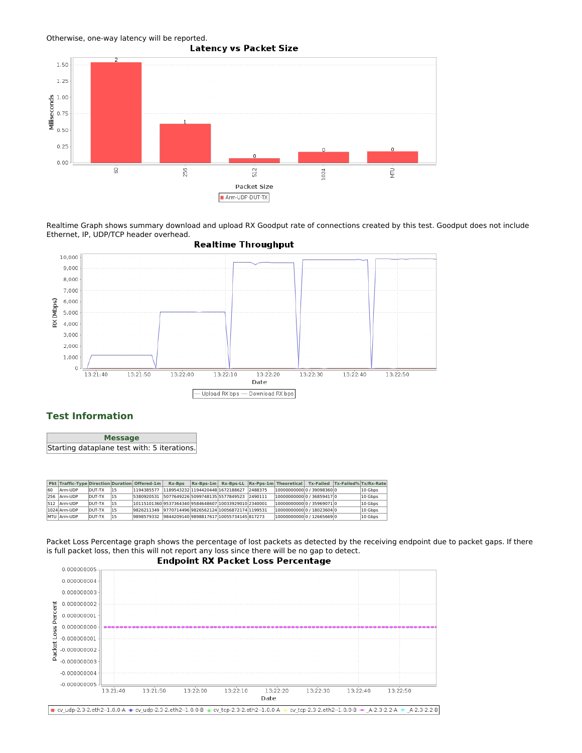



Realtime Graph shows summary download and upload RX Goodput rate of connections created by this test. Goodput does not include Ethernet, IP, UDP/TCP header overhead.



## **Test Information**

**Message** Starting dataplane test with: 5 iterations.

|    |              |                |     | Pkt Traffic-Type Direction Duration Offered-1m      | <b>Rx-Bps</b> |  | Rx-Bps-1m Rx-Bps-LL Rx-Pps-1m Theoretical Tx-Failed Tx-Failed% Tx/Rx-Rate |  |         |
|----|--------------|----------------|-----|-----------------------------------------------------|---------------|--|---------------------------------------------------------------------------|--|---------|
| 60 | Arm-UDP      | <b>IDUT-TX</b> | 115 | 1194385577 118954323211944204481672188627 2488375   |               |  | 000000000000000000836000                                                  |  | 10 Gbps |
|    | 256 Arm-UDP  | <b>DUT-TX</b>  | 115 | 5380920531 507764922650997481355577849523 2490111   |               |  | 100000000000 / 368594170                                                  |  | 10 Gbps |
|    | 512 Arm-UDP  | DUT-TX         | 115 | 1011510136095373643409584648607100339290102340001   |               |  | 1000000000000 / 35969071 0                                                |  | 10 Gbps |
|    | 1024 Arm-UDP | DUT-TX         | 115 | 9826211349 97707144969826562124 10056872174 1199531 |               |  | 100000000000 / 180236040                                                  |  | 10 Gbps |
|    | MTU Arm-UDP  | <b>DUT-TX</b>  | 115 | 9898579332 98442091409898817617 10055734145 817273  |               |  | 10000000000 0 / 12665669 0                                                |  | 10 Gbps |

Packet Loss Percentage graph shows the percentage of lost packets as detected by the receiving endpoint due to packet gaps. If there is full packet loss, then this will not report any loss since there will be no gap to detect.

## **Endpoint RX Packet Loss Percentage**